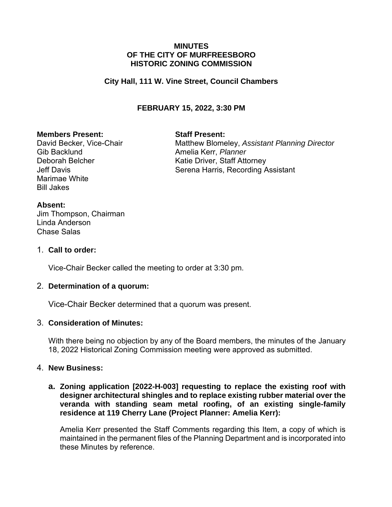#### **MINUTES OF THE CITY OF MURFREESBORO HISTORIC ZONING COMMISSION**

## **City Hall, 111 W. Vine Street, Council Chambers**

## **FEBRUARY 15, 2022, 3:30 PM**

#### **Members Present: Staff Present:**

Gib Backlund **Amelia Kerr**, *Planner* Marimae White Bill Jakes

David Becker, Vice-Chair **Matthew Blomeley, Assistant Planning Director** Deborah Belcher Katie Driver, Staff Attorney Jeff Davis **Serena Harris, Recording Assistant** 

#### **Absent:**

Jim Thompson, Chairman Linda Anderson Chase Salas

#### 1. **Call to order:**

Vice-Chair Becker called the meeting to order at 3:30 pm.

## 2. **Determination of a quorum:**

Vice-Chair Becker determined that a quorum was present.

## 3. **Consideration of Minutes:**

With there being no objection by any of the Board members, the minutes of the January 18, 2022 Historical Zoning Commission meeting were approved as submitted.

## 4. **New Business:**

**a. Zoning application [2022-H-003] requesting to replace the existing roof with designer architectural shingles and to replace existing rubber material over the veranda with standing seam metal roofing, of an existing single-family residence at 119 Cherry Lane (Project Planner: Amelia Kerr):**

Amelia Kerr presented the Staff Comments regarding this Item, a copy of which is maintained in the permanent files of the Planning Department and is incorporated into these Minutes by reference.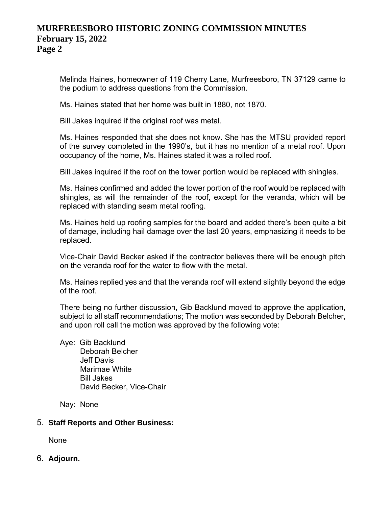## **MURFREESBORO HISTORIC ZONING COMMISSION MINUTES February 15, 2022 Page 2**

Melinda Haines, homeowner of 119 Cherry Lane, Murfreesboro, TN 37129 came to the podium to address questions from the Commission.

Ms. Haines stated that her home was built in 1880, not 1870.

Bill Jakes inquired if the original roof was metal.

Ms. Haines responded that she does not know. She has the MTSU provided report of the survey completed in the 1990's, but it has no mention of a metal roof. Upon occupancy of the home, Ms. Haines stated it was a rolled roof.

Bill Jakes inquired if the roof on the tower portion would be replaced with shingles.

Ms. Haines confirmed and added the tower portion of the roof would be replaced with shingles, as will the remainder of the roof, except for the veranda, which will be replaced with standing seam metal roofing.

Ms. Haines held up roofing samples for the board and added there's been quite a bit of damage, including hail damage over the last 20 years, emphasizing it needs to be replaced.

Vice-Chair David Becker asked if the contractor believes there will be enough pitch on the veranda roof for the water to flow with the metal.

Ms. Haines replied yes and that the veranda roof will extend slightly beyond the edge of the roof.

There being no further discussion, Gib Backlund moved to approve the application, subject to all staff recommendations; The motion was seconded by Deborah Belcher, and upon roll call the motion was approved by the following vote:

Aye: Gib Backlund Deborah Belcher Jeff Davis Marimae White Bill Jakes David Becker, Vice-Chair

Nay: None

## 5. **Staff Reports and Other Business:**

None

6. **Adjourn.**